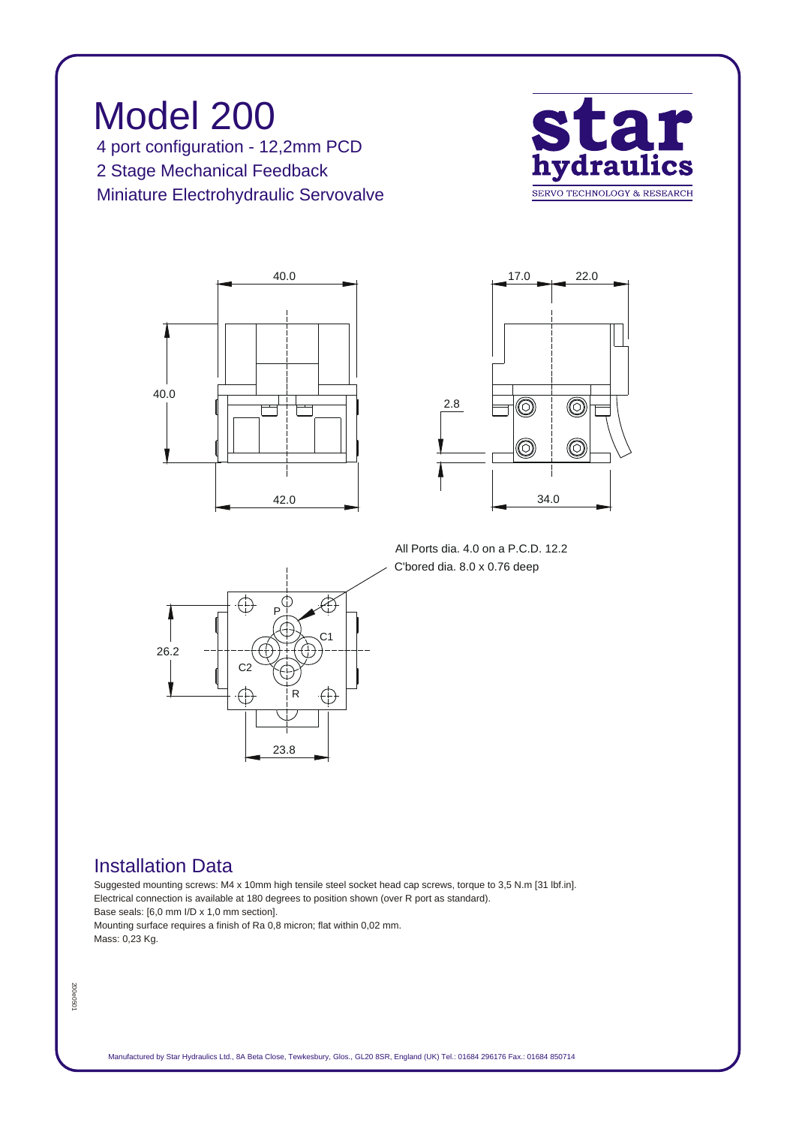*Model 200 4 port configuration - 12,2mm PCD 2 Stage Mechanical Feedback Miniature Electrohydraulic Servovalve*







*All Ports dia. 4.0 on a P.C.D. 12.2 C'bored dia. 8.0 x 0.76 deep*



## *Installation Data*

*Suggested mounting screws: M4 x 10mm high tensile steel socket head cap screws, torque to 3,5 N.m [31 lbf.in]. Electrical connection is available at 180 degrees to position shown (over R port as standard). Base seals: [6,0 mm I/D x 1,0 mm section]. Mounting surface requires a finish of Ra 0,8 micron; flat within 0,02 mm. Mass: 0,23 Kg.*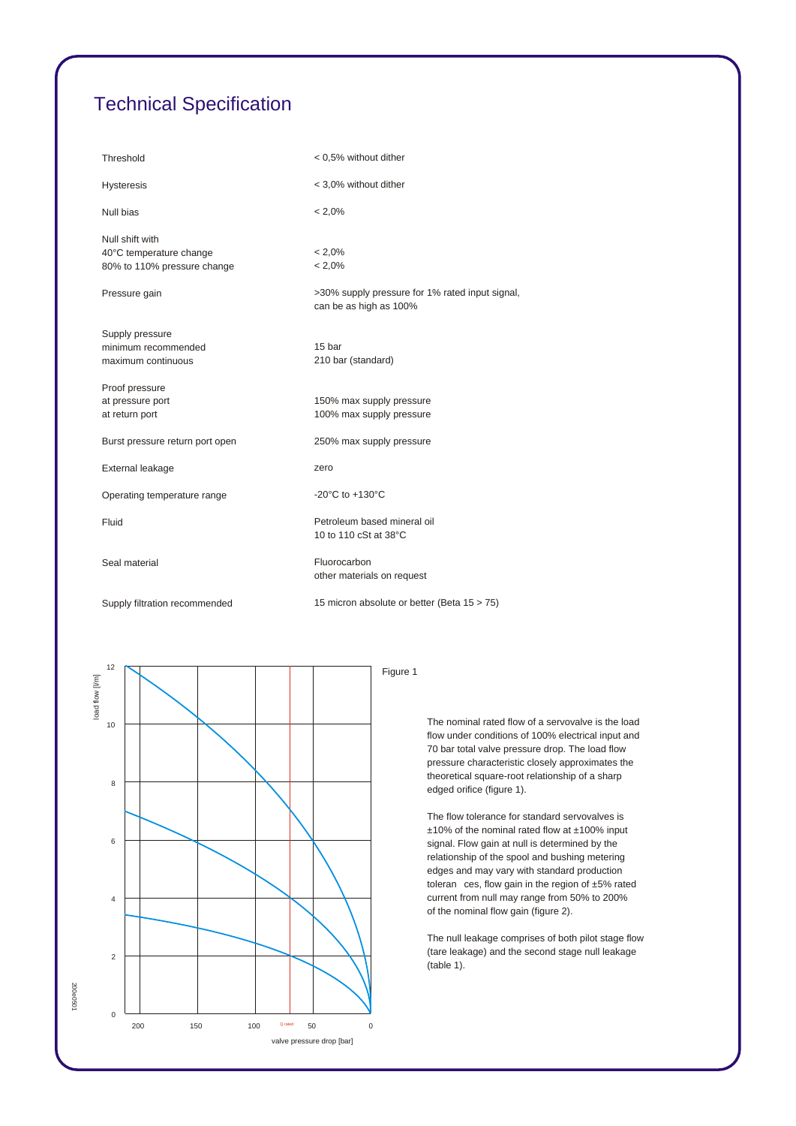## *Technical Specification*

| Threshold                                                                 | < 0.5% without dither                                                     |
|---------------------------------------------------------------------------|---------------------------------------------------------------------------|
| <b>Hysteresis</b>                                                         | < 3,0% without dither                                                     |
| Null bias                                                                 | $< 2.0\%$                                                                 |
| Null shift with<br>40°C temperature change<br>80% to 110% pressure change | $< 2.0\%$<br>$< 2.0\%$                                                    |
| Pressure gain                                                             | >30% supply pressure for 1% rated input signal,<br>can be as high as 100% |
| Supply pressure<br>minimum recommended<br>maximum continuous              | 15 bar<br>210 bar (standard)                                              |
| Proof pressure<br>at pressure port<br>at return port                      | 150% max supply pressure<br>100% max supply pressure                      |
| Burst pressure return port open                                           | 250% max supply pressure                                                  |
| External leakage                                                          | zero                                                                      |
| Operating temperature range                                               | -20 $^{\circ}$ C to +130 $^{\circ}$ C                                     |
| Fluid                                                                     | Petroleum based mineral oil<br>10 to 110 cSt at 38°C                      |
| Seal material                                                             | Fluorocarbon<br>other materials on request                                |
| Supply filtration recommended                                             | 15 micron absolute or better (Beta 15 > 75)                               |



*200e0501*

200e0501

*Figure 1*

*The nominal rated flow of a servovalve is the load flow under conditions of 100% electrical input and 70 bar total valve pressure drop. The load flow pressure characteristic closely approximates the theoretical square-root relationship of a sharp edged orifice (figure 1).*

*The flow tolerance for standard servovalves is ±10% of the nominal rated flow at ±100% input signal. Flow gain at null is determined by the relationship of the spool and bushing metering edges and may vary with standard production toleran ces, flow gain in the region of ±5% rated current from null may range from 50% to 200% of the nominal flow gain (figure 2).*

*The null leakage comprises of both pilot stage flow (tare leakage) and the second stage null leakage (table 1).*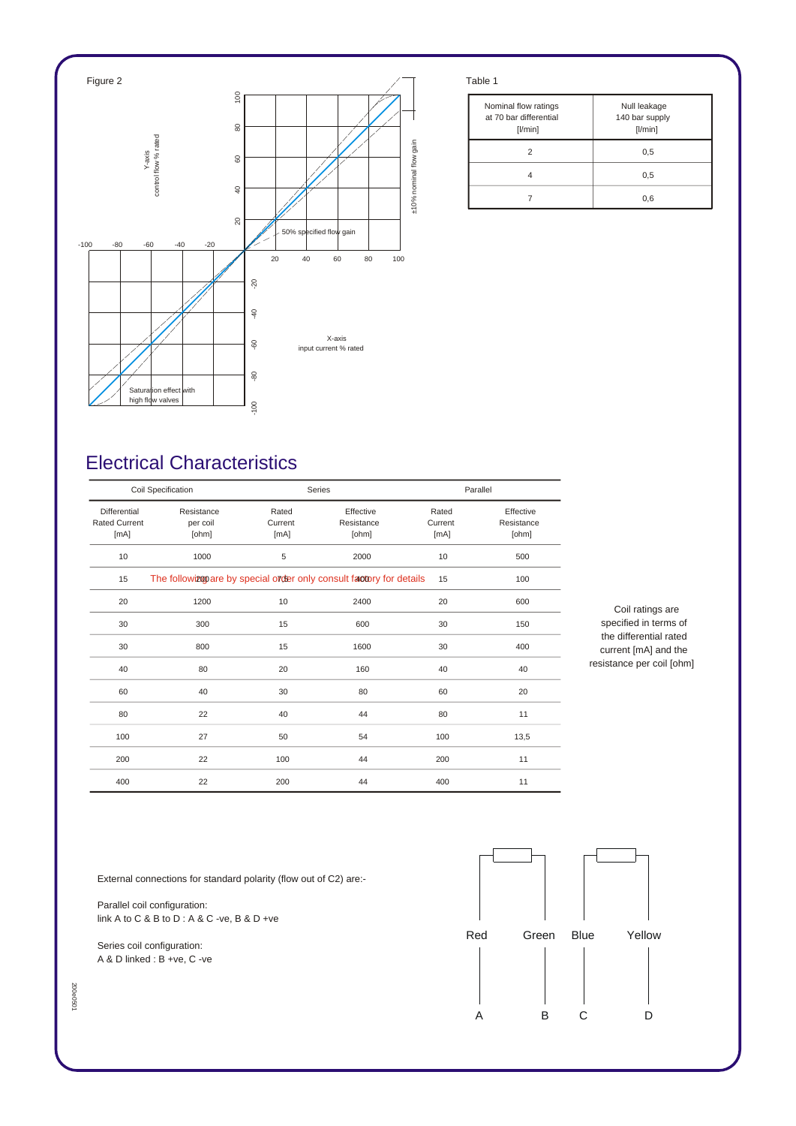

| Nominal flow ratings<br>at 70 bar differential<br>[1/min] | Null leakage<br>140 bar supply<br>[1/min] |
|-----------------------------------------------------------|-------------------------------------------|
|                                                           | 0,5                                       |
|                                                           | 0,5                                       |
|                                                           | 0,6                                       |

## *Electrical Characteristics*

| Coil Specification                           |                                 |                          | Series                                                               |                          | Parallel                         |  |
|----------------------------------------------|---------------------------------|--------------------------|----------------------------------------------------------------------|--------------------------|----------------------------------|--|
| Differential<br><b>Rated Current</b><br>[mA] | Resistance<br>per coil<br>[ohm] | Rated<br>Current<br>[mA] | Effective<br>Resistance<br>[ohm]                                     | Rated<br>Current<br>[mA] | Effective<br>Resistance<br>[ohm] |  |
| 10                                           | 1000                            | 5                        | 2000                                                                 | 10                       | 500                              |  |
| 15                                           |                                 |                          | The followizon are by special order only consult factory for details | 15                       | 100                              |  |
| 20                                           | 1200                            | 10                       | 2400                                                                 | 20                       | 600                              |  |
| 30                                           | 300                             | 15                       | 600                                                                  | 30                       | 150                              |  |
| 30                                           | 800                             | 15                       | 1600                                                                 | 30                       | 400                              |  |
| 40                                           | 80                              | 20                       | 160                                                                  | 40                       | 40                               |  |
| 60                                           | 40                              | 30                       | 80                                                                   | 60                       | 20                               |  |
| 80                                           | 22                              | 40                       | 44                                                                   | 80                       | 11                               |  |
| 100                                          | 27                              | 50                       | 54                                                                   | 100                      | 13,5                             |  |
| 200                                          | 22                              | 100                      | 44                                                                   | 200                      | 11                               |  |
| 400                                          | 22                              | 200                      | 44                                                                   | 400                      | 11                               |  |

*Coil ratings are specified in terms of the differential rated current [mA] and the resistance per coil [ohm]*

*External connections for standard polarity (flow out of C2) are:-*

*Parallel coil configuration: link A to C & B to D : A & C -ve, B & D +ve*

*Series coil configuration: A & D linked : B +ve, C -ve*